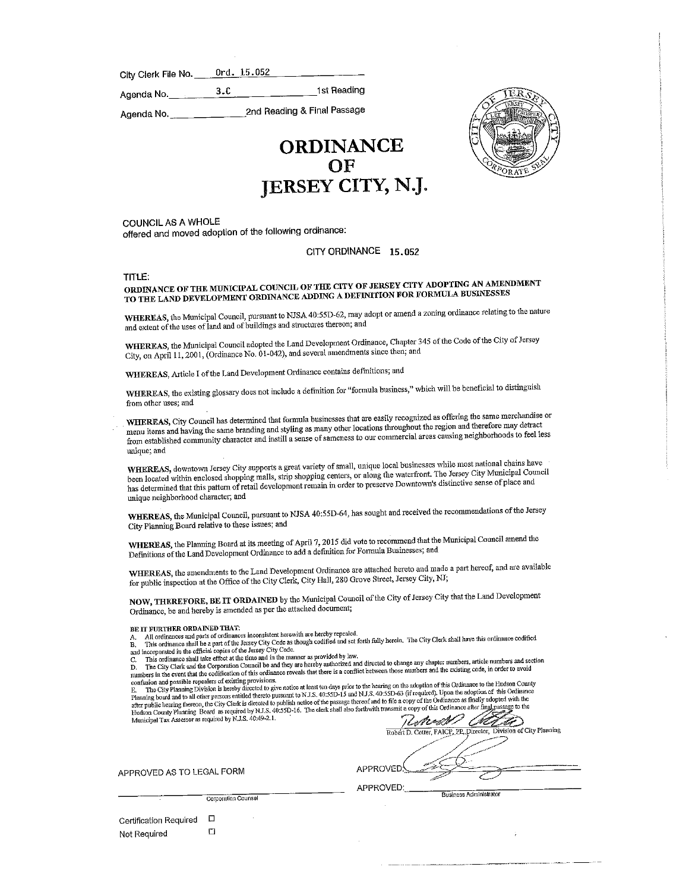City Clerk File No. 0rd. 15.052

Agenda No.\_3.C \_1st Reading

Agenda No.\_ 2nd Reading & Final Passage

# ORDINANCE<br>OF JERSEY CITY, N.J.



COUNCIL AS A WHOLE offered and moved adoption of the following ordinance:

#### CITY ORDINANCE 15.052

## TITLE:<br>ORDINANCE OF THE MUNICIPAL COUNCIL OF THE CITY OF JERSEY CITY ADOPTING AN AMENDMENT TO THE LAND DEVELOPMENT ORDINANCE ADDING A DEFINITION FOR FORMULA BUSINESSES

WHEREAS, the Municipal Council, pursuant to NJSA 40:55D-62, may adopt or amend a zoning ordinance relating to the nature and extent of the uses of land and of buildings and structures thereon; and

WHEREAS, the Municipal Council adopted tbe Land Development Ordinance, Chapter 345 of the Code of the City of Jersey City, on April 11,2001, (Ordinance No. 01-042), and several amendments since then; and

WHEREAS, Article I of the Land Development Ordinance contains definitions; and

WHEREAS, the existing glossary does not include a definition for "formula business," which will be beneficial to distuiguish

from other uses, and<br>WHEREAS, City Council has determined that formula businesses that are easily recognized as offering the same merchandise or menu items and having the same branding and styling as many other locations throughout the region and therefore may detract enu items and having the same branding also the same of compress to our commercial areas causing neighborhoods to feel les from established community character and multiple sense of same causing to our commercial areas causing neighborhoods to feel less

unique; and<br>WHEREAS, downtown Jersey City supports a great variety of small, unique local businesses while most national chains have HEREAS, downtown Jersey City supports a great variety of standard the waterfront. The Jersey City Municipal Council ben located within enclosed shopping mails, strip shopping in order to preserve Downtown's distinctive sense of place and has determined that fhis pattern of retail development remain in order to preserve Downtown's distinctive sense of place and unique neighborhood character; and

WHEREAS, fhe Municipal Council, pursuant to NJSA 40:55D-64, has sought and received the recommendations of the Jersey City Planning Board relative to these issues; and

WHEREAS, the Planning Board at its meeting of April 7, 2015 did vote to recommend that the Municipal Council amend the Definitions of the Land Development Ordinance to add a definition for Formula Businesses; and

WHEREAS, the amendments to the Land Development Ordinance are attached hereto and made a part hereof, and are available for public inspection at die Office of the City Clerk, City Hall, 280 Grove Street, Jersey City, NJ;

NOW, THEREFORE, BE IT ORDAINED by fhe Municipal Council of the City of Jersey City thatthe Land Development Ordinance, be and hereby is amended as per the attached document;

Example 1 NOVID FOR CONSILIATED TO THE RECORD TO THE RECORD THE CONSIDENCIAL AND SOLUTION OF THE CITY CLERK Shall have this ordinance codified<br>3. This ordinance shall be a part of the Jersey City Code as though codified a

on the Saster City Planning Division is hereby directed to give notice at least ten days prior to the hearing on the adoption of this Ordinance to the Hudson County<br>Planning board and to all other persons entitled thereto

Municipal Tax Assessor as required by N.J.S. 40:49-2.1.  $\frac{P}{R\text{object D. Coster D. Coster PAICP, PD. Directator}}$ Division of City Planning Robert D. Cotter, FAICl^.'i3>,j)irec{or, Division of City Planning

APPROVED AS TO LEGAL FORM **APPROVED** 

Rusiness Administrator<br>Corporation Counsel

Certification Required  $\square$ Not Required  $\square$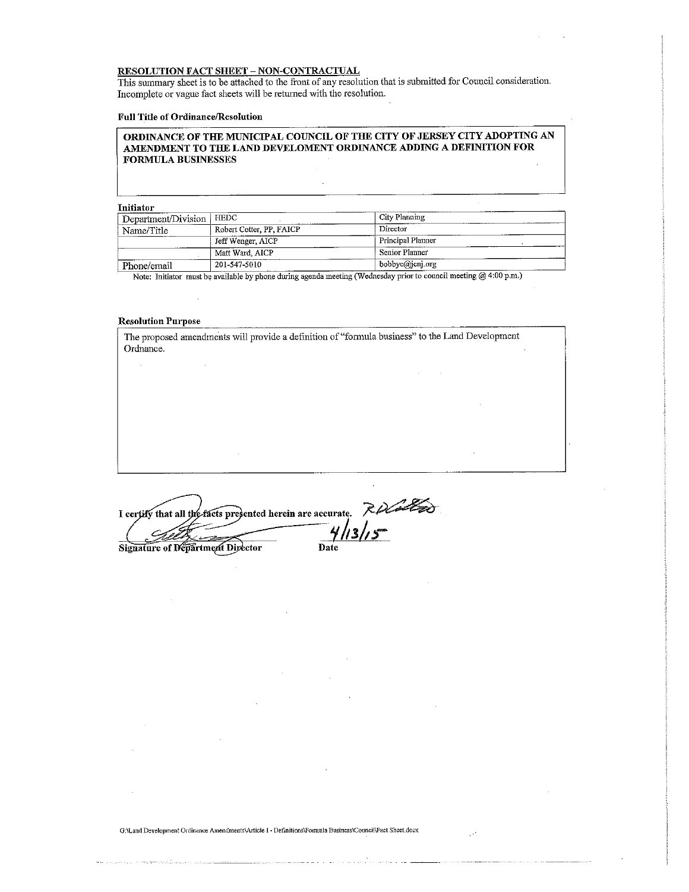#### RESOLUTION FACT SHEET - NON-CQNTRACTUAL

This summary sheet is to be attached to the front of any resolution that is submitted for Council consideration. Incomplete or vague fact sheets will be rehimed with the resolution.

#### Full Title of Ordinance/ResoIution

#### ORDINANCE OF THE MUNICIPAL COUNCIL OF THE CITY OF JERSEY CITY ADOPTING AN AMENDMENT TO THE LAND DEVELOMENT ORDINANCE ADDING A DEFINITION FOR FORMULA BUSINESSES

 $\overline{\phantom{a}}$ 

Initiator

| Department/Division | HEDC                     | City Planning     |
|---------------------|--------------------------|-------------------|
| Name/Title          | Robert Cotter, PP, FAICP | Director          |
|                     | Jeff Wenger, AICP        | Principal Planner |
|                     | Matt Ward, AICP          | Senior Planner    |
| Phone/email         | 201-547-5010             | bobbyc@jcnj.org   |

Note: Initiator must be available by phone during agenda meeting (Wednesday prior to council meeting @ 4:00 p.m.)

#### Resolution Purpose

The proposed amendments will provide a definition of "formula business" to the Land Development Ordnance.

I certify that all the facts presented herein are accurate. Signature of Department Director Date

G:\Land Development Ordinance Amendments\Article I - Definitions\Formula Business\Council\Fact Sheet.docx

Ú.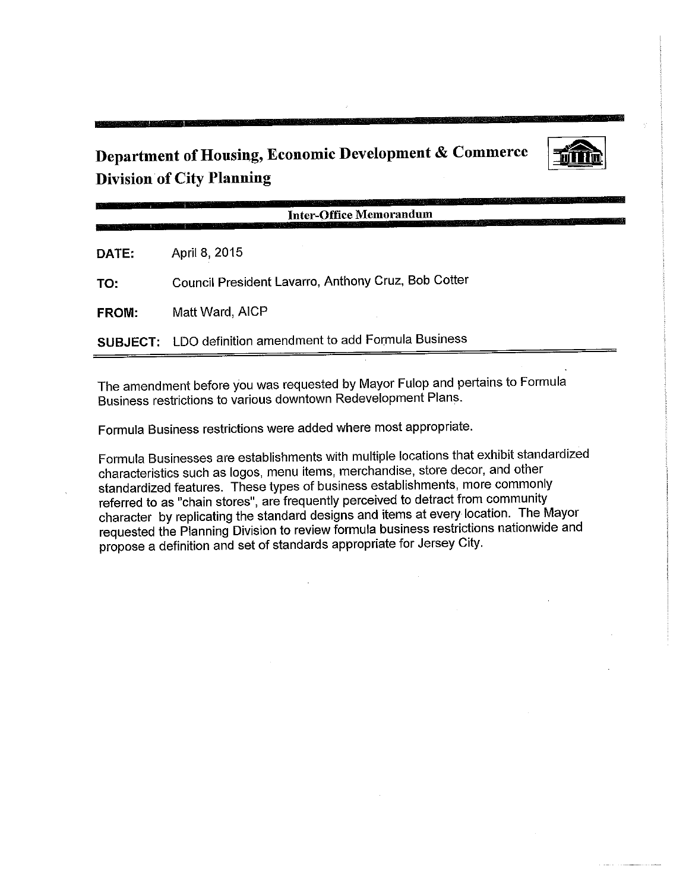## Department of Housing, Economic Development & Commerce Division of City Planning



Inter-Office Memorandum

DATE: April 8, 2015

TO: Council President Lavarro, Anthony Cruz, Bob Cotter

FROM: Matt Ward, AICP

SUBJECT: LDO definition amendment to add Formula Business

The amendment before you was requested by Mayor Fulop and pertains to Formula Business restrictions to various downtown Redevelopment Plans.

Formula Business restrictions were added where most appropriate.

Formula Businesses are establishments with multiple locations that exhibit standardized characteristics such as logos, menu items, merchandise, store decor, and other standardized features. These types of business establishments, more commonly referred to as "chain stores", are frequently perceived to detract from community character by replicating the standard designs and items at every location. The Mayor requested the Planning Division to review formula business restrictions nationwide and propose a definition and set of standards appropriate for Jersey City.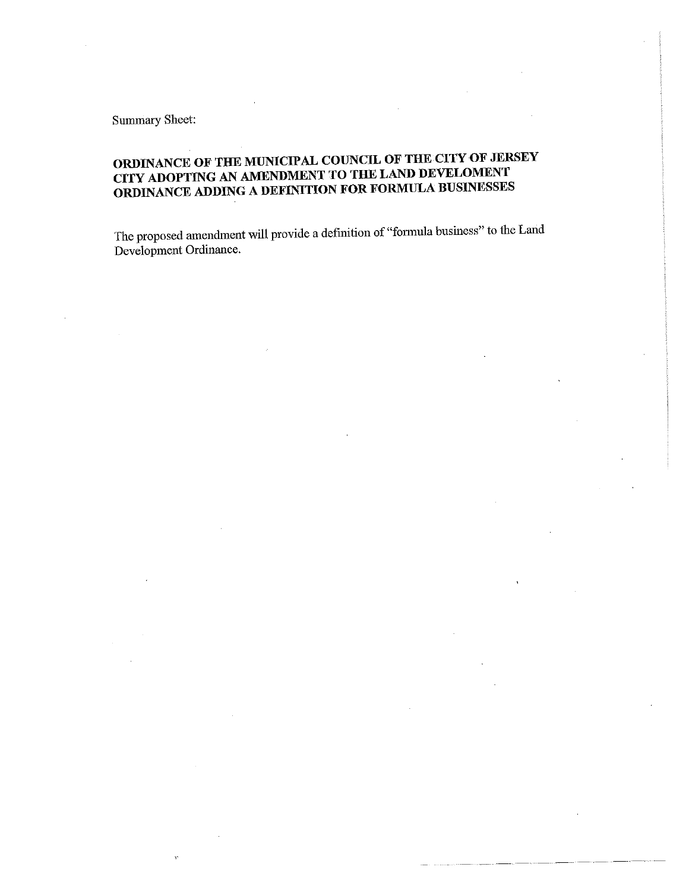Summary Sheet:

 $\ddot{\psi}$ 

## ORDINANCE OF THE MUNICIPAL COUNCIL OF THE CITY OF JERSEY<br>CITY ADOPTING AN AMENDMENT TO THE LAND DEVELOMENT TY ADOPTING AN AMENDMENT TO THE LAND DEVELOMENT ORDINANCE ADDING A DEFINITION FOR FORMULA BUSINESSES

The proposed amendment will provide a definition of "formula business" to the Land Development Ordinance.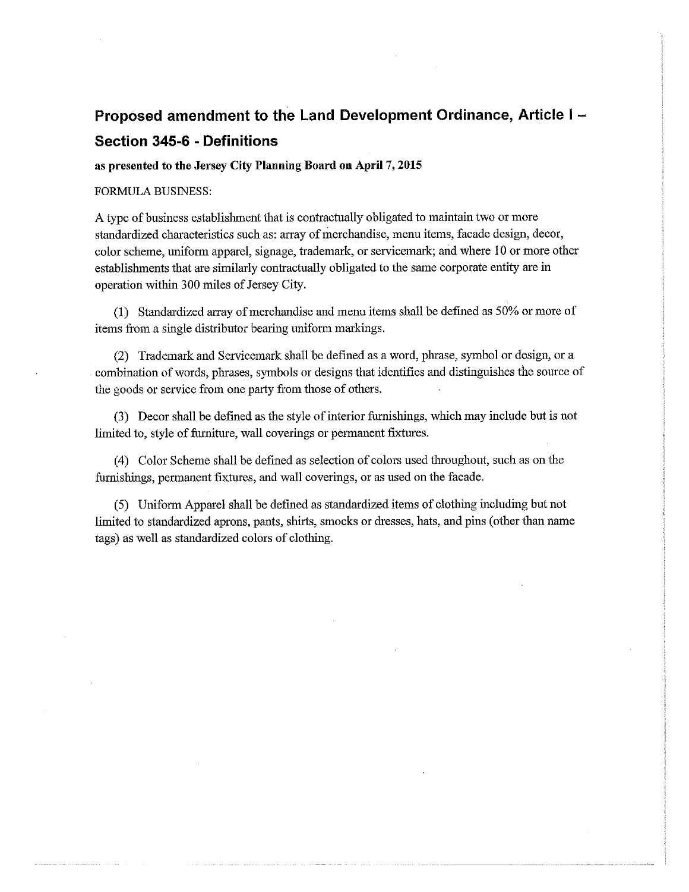## Proposed amendment to the Land Development Ordinance, Article I Section 345-6 - Definitions

### as presented to the Jersey City Planning Board on April 7, 2015

#### FORMULA BUSINESS:

A type of business establishment that is contractually obligated to maintain two or more standardized characteristics such as: array of merchandise, menu items, facade design, decor, color scheme, uniform apparel, signage, trademark, or servicemark; and where 10 or more other establishments that are similarly contractually obligated to the same corporate entity are in operation within 300 miles of Jersey City.

(1) Standardized array of merchandise and menu items shall be defined as 50% or more of items from a single distributor bearing uniform markings.

(2) Trademark and Servicemark shall be defined as a word, phrase, symbol or design, or a combination of words, phrases, symbols or designs that identifies and distinguishes the source of the goods or service from one party from those of others.

(3) Decor shall be defined as the style of interior furnishings, which may include but is not limited to, style of furniture, wall coverings or permanent fixtures.

(4) Color Scheme shall be defined as selection of colors used throughout, such as on the furnishings, permanent fixtures, and wall coverings, or as used on the facade.

(5) Uniform Apparel shall be defined as standardized items of clothing including but not limited to standardized aprons, pants, shirts, smocks or dresses, hats, and pins (other than name tags) as well as standardized colors of clothing.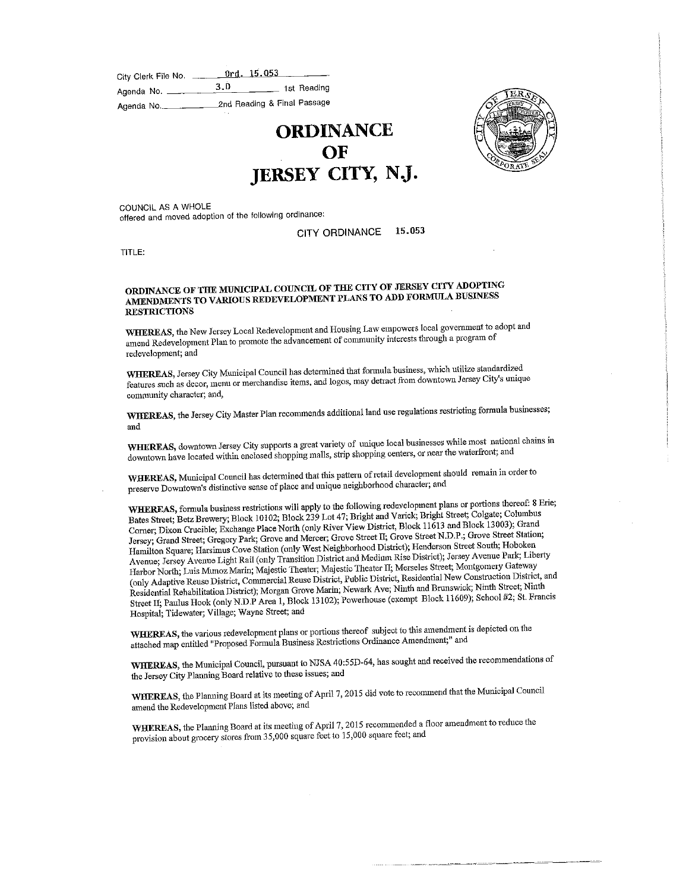| City Clerk File No. | Ord. 15.053                 |
|---------------------|-----------------------------|
| Agenda No.          | 3.D<br>1st Reading          |
| Agenda No.          | 2nd Reading & Final Passage |

**ORDINANCE** OF JERSEY CITY, NJ.



UNCIL AS A WHOLE ered and moved adoption of the following ordinance:

#### CITY ORDINANCE 15,053

TITLE:

#### COINANCE OF THE MUNICIPAL COUNCIL OF THE COUNCIL OF THE COUNCIL A BUSINESS MENDMENTS TO VARIOUS REDEVELOPMENT PLANS TO ADD FORMULA RESTRICTIONS

HEREAS, the New Jersey Local Redevelopment and Holomorphic interests through a program of amend Redevelopment Plan to promote the advancement of community interests the computation of the program of program of the program of the program of the program of the program of the program of the program of the program redevelopment; and

HEREAS, Jersey City Municipal Council has countined that a may detect from downtown Jersey City's unique features such as decor, menu or merchandise items, and logos, may detract from downtown Jersey City's unique community character; and,

WHEREAS, the Jersey City Master Plan recommends additional land use regulations restricting formula businesses; and

WHEREAS, downtown Jersey City supports a great variety of unique local businesses while most national chains in downtown have located within enclosed shopping malls, strip shopping centers, or near the waterfront; and

WHEREAS, Municipal Council has determined that the patch berbaed ebered and preserve Downtown's distinctive sense of place and unique neighborhood character; and

WHEREAS, formula business restrictions will apply to the following redevelopment plans or portions thereof: 8 Erie;<br>Bates Street; Betz Brewery; Block 10102; Block 239 Lot 47; Bright and Varick; Bright Street; Colgate; Colu Battes Street; Bixon Crucible; Exchange Place North (only River View District, Block 11613 and Block 13003); Grand Jersey; Grand Street; Gregory Park; Grove and Mercer; Grove Street II; Grove Street N.D.P.; Grove Street Station; Hamilton Square; Harsimus Cove Station (only West Neighborhood District); Henderson Street South; Hoboken Avenue; Jersey Avenue Light Rail (only Transition District and Medium Rise District); Jersey Avenue Park; Liberty Harbor North; Luis Munoz Marin; Majestic Theater; Majestic Theater II; Merseles Street; Montgomery Gateway (only Adaptive Reuse District, Commercial Reuse District, Public District, Residential New Construction District, and Residential Rehabilitation District); Morgan Grove Marin; Newark Ave; Ninth and Brunswick; Ninth Street; Ninth Residential Rehabilitation District), Morgan Grove Marin; Newark Avery Research; Nicolae 11609); School #2: St. Franc  $S_t$  and  $S_t$  area 1,  $S_t$  are a 1,  $S_t$  area 1,  $S_t$  1,  $S_t$  1,  $S_t$  1,  $S_t$  11609);  $S_t$  constants to  $\mathcal{C}_t$  =  $\mathcal{C}_t$ Hospital; Tidewater; Village; Wayne Street; and

WHEREAS, the various redevelopment plans or portions thereof subject to this amendment is depicted on the attached map entitled "Proposed Formula Business Restrictions Ordinance Amendment," and

WHEREAS, fhe Municipal Council, pursuant to NJSA 40:55D-64, has souglit and received the recommendations of the Jersey City Plauning Board relative to these issues; and

WHEREAS, the Planning Board at its meeting of April 7, 2015 did vote to recommend that the Municipal Council amend the Reclevelopment Plans listed above; and

WHEREAS, the Planning Board at its meeting of April 7, 2015 recommended a floor amendment to reduce the provision about grocery stores from 35,000 square feet to 15,000 square feet; and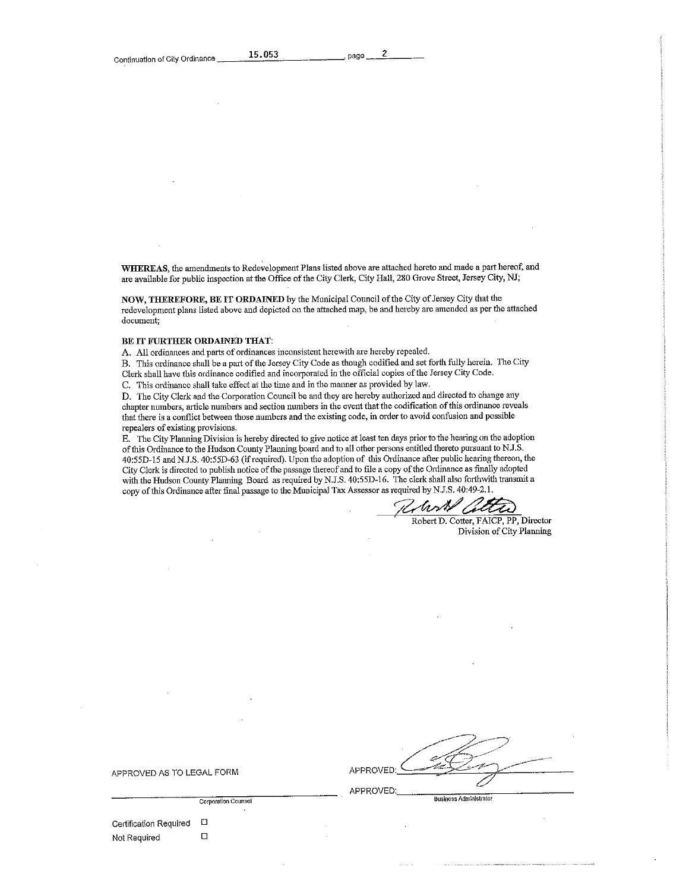$\overline{\phantom{a}}$ 

WHEREAS, the amendments to Redevelopment Plans listed above are attached hereto and made a part hereof, and are available for public inspection at fhe Office of the City Clerk, City Hall, 280 Grove Street, Jersey City, NJ;

NOW, THEREFORE, BE IT ORDAINED by the Municipal Council of the City of Jersey City that the redevelopment plans listed above and depleted on the attached map, be and hereby are amended as per the attached document;

#### BE IT FURTHER ORDAINED THAT:

A. All ordinances and parts of ordinances inconsistent herewith are hereby repealed.

B. This ordinance shall be a part of the Jersey City Code as though codified and set forth fully herein. The City Clerk shall have this ordinance codified and incorporated in the official copies of the Jersey City Code.

C. This ordmance shall take effect at the time and in the manner as provided by law.

D. The City Clerk and the Corporation Council be and they are hereby authorized and directed to change any chapter numbers, article numbers and section numbers in fhe event that the codification of this ordinance reveals that there is a conflict between those numbers and the existing code, in order to avoid confusion and possible repealers of existing provisions.

E. The City Planning Division is hereby directed to give notice at least ten days prior to the hearing on the adoption offhis Ordinance to the Hudson County Planning board and to all other persons entitled thereto pursuant to NJ.S. 40:55D-15andN.J.S.40:55D-63 (if required). Upon the adoption of this Ordinance after public hearing thereon, the City Clerk is directed to publish notice of the passage thereof and to file a copy of the Ordinance as finally adopted with the Hudson County Planning Board as required by N.J.S. 40:55D-16. The clerk shall also forthwith transmit a copy of this Ordinance after final passage to the Municipal Tax Assessor as required by N.J.S. 40:49-2.1.

Rhort atta

Robert D. Cotter, FAICP, PP, Director Division of City Planning

| APPROVED: | $-1$<br>سيسر<br>المستحصصيين |
|-----------|-----------------------------|
|           |                             |
|           | --                          |

APPROVED AS TO LEGAL FORM

| Certification Required | с |
|------------------------|---|
| Not Required           |   |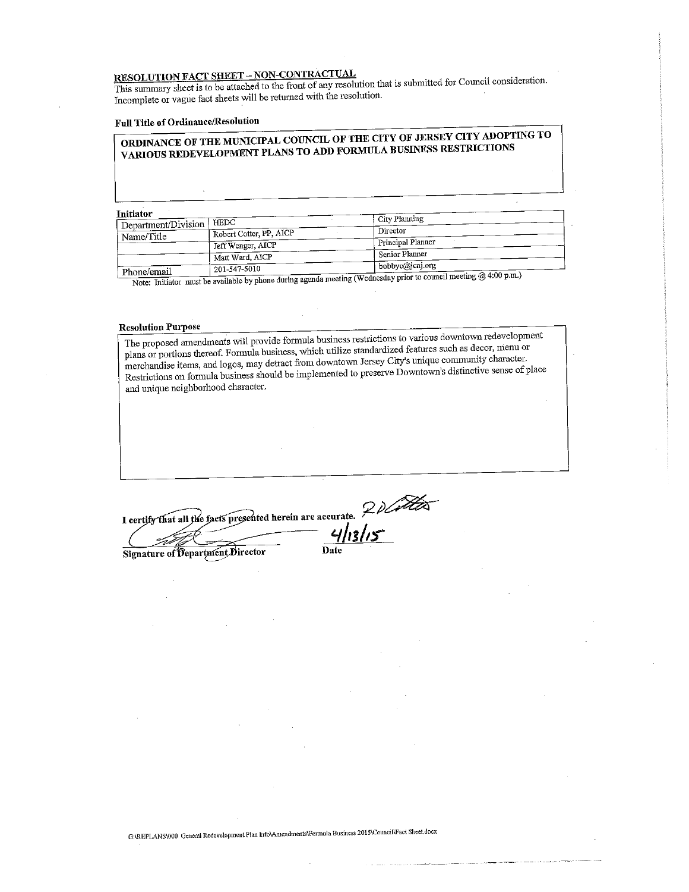$\underline{\text{SOLUTION RALI} \cdot \text{SHE}}$  $T_{\text{S}}$  summary sheet is to be attached to the front of any resolution that is submitted for  $\frac{1}{\sqrt{2}}$  and  $\frac{1}{\sqrt{2}}$  for Council consideration. Incomplete or vague fact sheets will be returned with the resolution.

### Full Title of Ordinance/Resolution<br>|<br>| ORDINANCE OF THE MUNICIPAL COUNCIL OF THE CITY OF JERSEY CITY ADOPTING TO DINANCE OF THE MUNICIPAL COUNCIL OF THE COUNCIL COUNCIL ADDITIONS THE COUNCIL OF THE COUNCIL OF THE COUNCLE OF THE COUNCLE OF THE COUNCIL OF THE COUNCIL OF THE COUNCIL OF THE COUNCIL OF THE COUNCIL OF THE COUNCIL OF THE CO VARIOUS REDEVELOPMENT PLANS TO ADD FORMULA BUSINESS RESTRICTIONS

Initiator

| muator                |                         | City Planning                                                                        |
|-----------------------|-------------------------|--------------------------------------------------------------------------------------|
| ' Department/Division | HEDC                    |                                                                                      |
| Name/Title            | Robert Cotter, PP, AICP | Director                                                                             |
|                       | Jeff Wenger, AICP       | Principal Planner                                                                    |
|                       | Matt Ward, AICP         | ' Senior Planner                                                                     |
|                       | 201-547-5010            | bobbyc@jcnj.org                                                                      |
| Phone/email           |                         | $\lambda$ in a complement in a Wednesday prior to council meeting $(2.4, 200)$ p.m.) |

 $\mathbf{E}$ : Initiator must be available by phone during  $\mathbf{E}$ ;

Resolution Purpose<br>The proposed amendments will provide formula business restrictions to various downtown redevelopment plans or portions thereof. Formula business, which utilize standardized features such as decor, menu or plans or portions thereof. For the methods there is a decorate standardized features such as decor, menchandise items, and logos, may detract from downtown Jersey City's unique community character. menandise items, and logos, may detract from do-water from do-wnto-wn's distinctive sense of pla  $R$ estrictions on formula business should be implemented to preserve. and unique neighborhood character. I certify that all the facts presented herein are accurate.  $2$  donated

Signature of Department Director Date

G:\REPLANS\000 General Redevelopment Plan Info\Amendments\Formula Business 2015\Council\Fact Sheet.docx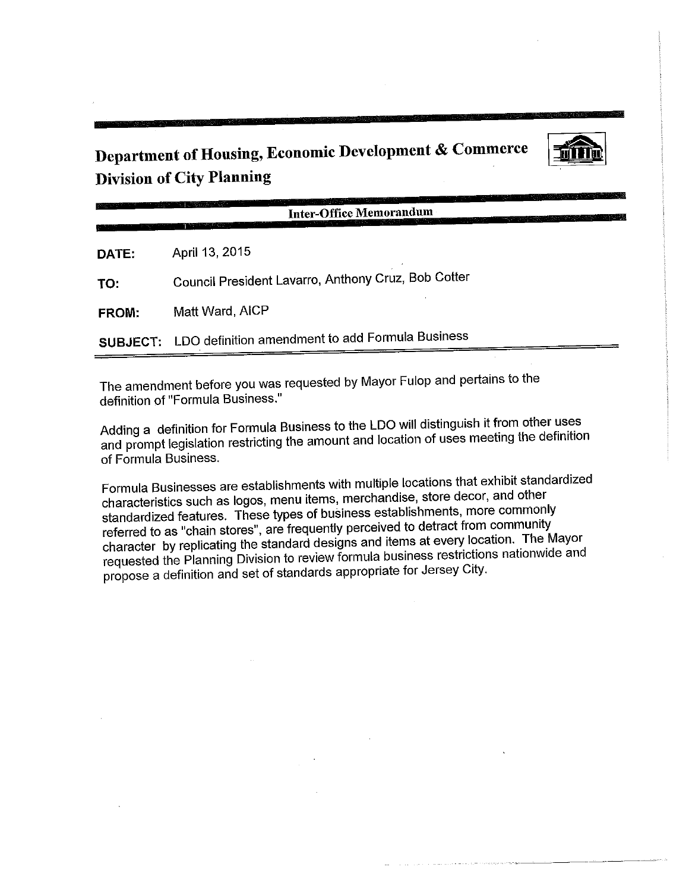Department of Housing, Economic Development & Commerce Division of City Planning



Inter-Office Memorandum

DATE: April 13, 2015

TO: Council President Lavarro, Anthony Cruz, Bob Cotter

FROM: Matt Ward, AICP

SUBJECT: LDO definition amendment to add Formula Business

The amendment before you was requested by Mayor Fulop and pertains to the definition of "Formula Business."

dding a definition for Formula Business to the LDO will be defined the definition and prompt legislation restricting the amount and location of uses meeting the definition of Formula Business.

Formula Businesses are establishments with multiple locations that exhibit standardized standardized features. These types of business establishments, more commonly referred to as "chain stores", are frequently perceived to detract from community character by replicating the standard designs and items at every location. The Mayor haracter by replicating the standard designs and items at every reserved. equested the Planning Division to review formula business research  $\frac{1}{2}$ propose a definition and set of standards appropriate for Jersey City.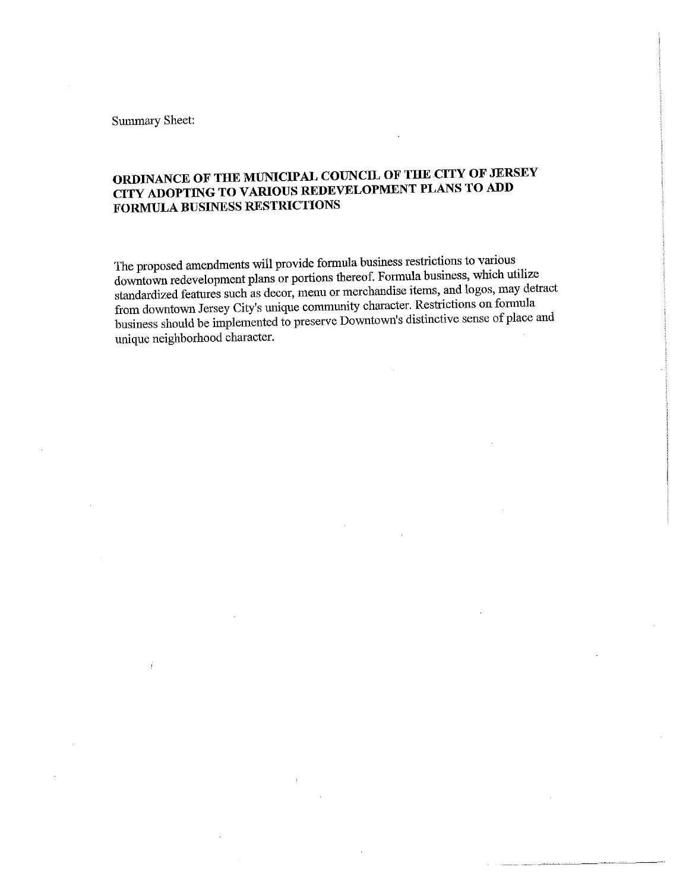Summary Sheet:

## ORDINANCE OF THE MUNICIPAL COUNCIL OF THE CITY OF JERSEY CITY ADOPTING TO VARIOUS REDEVELOPMENT PLANS TO ADD FORMULA BUSINESS RESTRICTIONS

The proposed amendments will provide formula business restrictions to various downtown redevelopment plans or portions thereof. Formula business, which utilize standardized features such as decor, menu or merchandise items, and logos, may detract from downtown Jersey City's unique community character. Restrictions on formula  $\frac{1}{2}$  downtown Jersey City's unique community character. Reserve of  $\frac{1}{2}$  for  $\frac{1}{2}$  $\mu$ usiness should be implemented to preserve Downtown's distinctive sense of place and unique neighborhood character.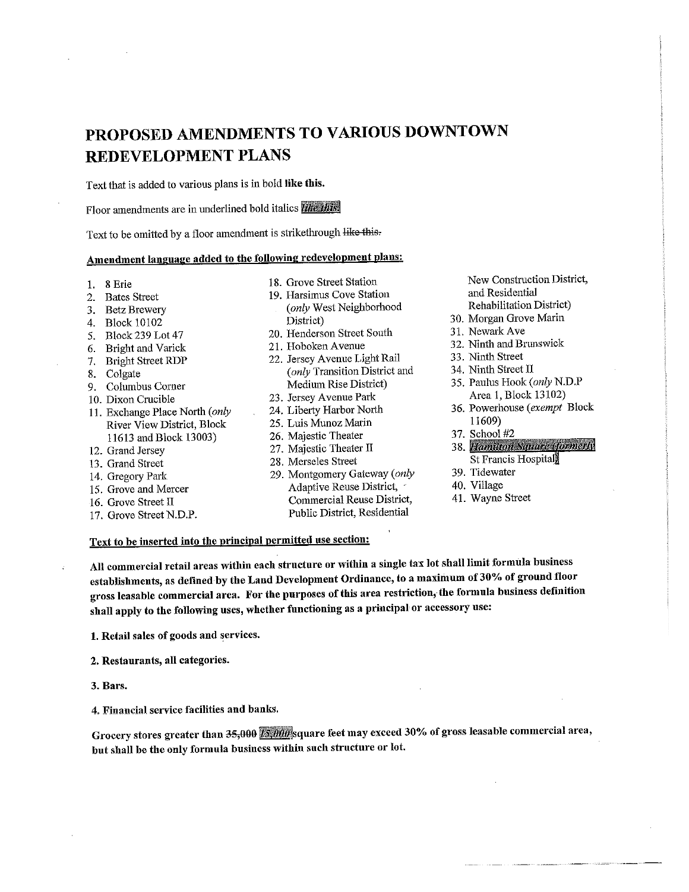## PROPOSED AMENDMENTS TO VARIOUS DOWNTOWN REDEVELOPMENT PLANS

Text that is added to various plans is in bold like this.

Floor amendments are in underlined bold italics like this.

Text to be omitted by a floor amendment is strikethrough like this-

### Amendment language added to the following redevelopment plans:

- 1. 8 Erie
- 2. Bates Street
- 3. Betz Brewery
- 4. Block 10102
- 5. Block 239 Lot 47
- 6. Bright and Varick
- 7. Bright Street RDP
- 8. Colgate
- 9. Columbus Corner
- 10. Dixon Crucible
- 11. Exchange Place North (only River View District, Block 11613 and Block 13003)
- 12. Grand Jersey
- 13. Grand Street
- 14. Gregory Park
- 15, Grove and Mercer
- 16. Grove Street II
- 17. Grove Street N.D.P.
- 18. Grove Street Station
- 19. Harsimus Cove Station (only West Neighborhood District)
- 20. Henderson Street South
- 21. Hoboken Avenue
- 22. Jersey Avenue Light Rail (only Transition District and Medium Rise District)
- 23. Jersey Avenue Park
- 24. Liberty Harbor North
- 25. Luis Munoz Marin
- 26. Majestic Theater
- 27. Majestic Theater II
- 28. Merseles Street
- 29. Montgomery Gateway (only Adaptive Reuse District, Commercial Reuse District, Public District, Residential

New Construction District,<br>and Residential nd Residential<br>Canada dia angle Rehabilitation District)

- 30. Morgan Grove Marin<br>31. Newark Ave
- 1. Newark Ave
- $\frac{2}{3}$ . Ninth and Brunswick
- $3.1$  Ninth Street
- $\frac{4}{3}$ . Ninth Street II
- 35. Paulus Hook (only N.D.P<br>Area 1, Block 13102)  $\frac{1}{4}$
- $34.68$ 11609)<br>37. School #2
- 
- 38. Hamilton Square (formerly St Francis Hospital
- 
- 39. Tidewater
- ro. village<br>14. <del>v</del>ez 41. Wayne Street

### Text to be inserted into the principal permitted use section:

All commercial retail areas within each structure or within a single tax lot shall limit formula business establishments, as defined by the Land Development Ordinance, to a maximum of 30% of ground floor gross leasable commercial area. For the purposes of this area restriction, the formula business definition shall apply to the following uses, whether functioning as a principal or accessory use:

1. Retail sales of goods and services.

- 2. Restaurants, all categories.
- 3. Bars.

4. Financial service facilities and banks.

Grocery stores greater than 35,000 is 000 square feet may exceed 30% of gross leasable commercial area, but shall be the only formula business within such structure or lot.